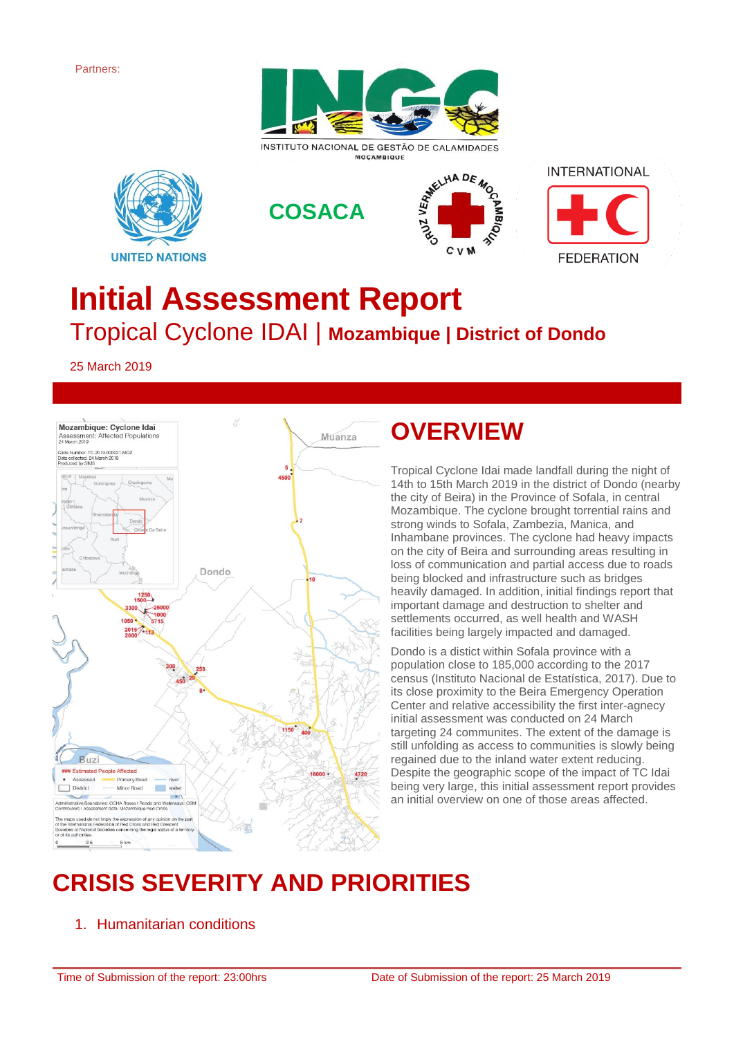Partners:



INSTITUTO NACIONAL DE GESTÃO DE CALAMIDADES **MOCAMBIQUE** 









# **Initial Assessment Report** Tropical Cyclone IDAI | **Mozambique | District of Dondo**

25 March 2019



### **OVERVIEW**

Tropical Cyclone Idai made landfall during the night of 14th to 15th March 2019 in the district of Dondo (nearby the city of Beira) in the Province of Sofala, in central Mozambique. The cyclone brought torrential rains and strong winds to Sofala, Zambezia, Manica, and Inhambane provinces. The cyclone had heavy impacts on the city of Beira and surrounding areas resulting in loss of communication and partial access due to roads being blocked and infrastructure such as bridges heavily damaged. In addition, initial findings report that important damage and destruction to shelter and settlements occurred, as well health and WASH facilities being largely impacted and damaged.

Dondo is a distict within Sofala province with a population close to 185,000 according to the 2017 census (Instituto Nacional de Estatística, 2017). Due to its close proximity to the Beira Emergency Operation Center and relative accessibility the first inter-agnecy initial assessment was conducted on 24 March targeting 24 communites. The extent of the damage is still unfolding as access to communities is slowly being regained due to the inland water extent reducing. Despite the geographic scope of the impact of TC Idai being very large, this initial assessment report provides an initial overview on one of those areas affected.

# **CRISIS SEVERITY AND PRIORITIES**

1. Humanitarian conditions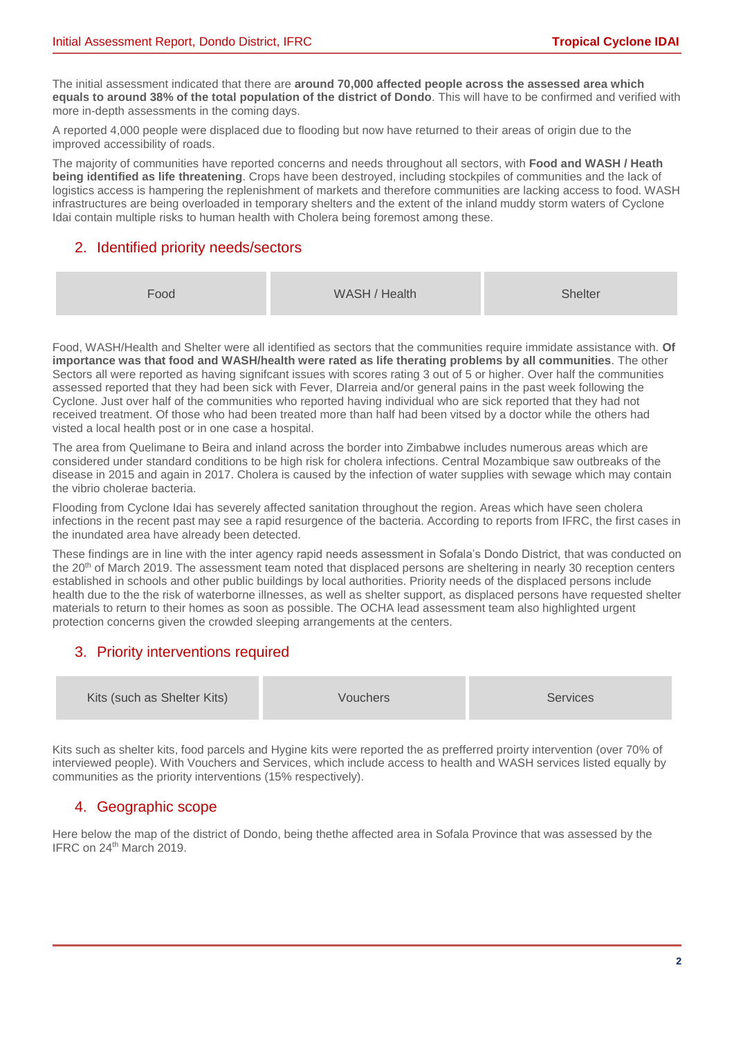The initial assessment indicated that there are **around 70,000 affected people across the assessed area which equals to around 38% of the total population of the district of Dondo**. This will have to be confirmed and verified with more in-depth assessments in the coming days.

A reported 4,000 people were displaced due to flooding but now have returned to their areas of origin due to the improved accessibility of roads.

The majority of communities have reported concerns and needs throughout all sectors, with **Food and WASH / Heath being identified as life threatening**. Crops have been destroyed, including stockpiles of communities and the lack of logistics access is hampering the replenishment of markets and therefore communities are lacking access to food. WASH infrastructures are being overloaded in temporary shelters and the extent of the inland muddy storm waters of Cyclone Idai contain multiple risks to human health with Cholera being foremost among these.

### 2. Identified priority needs/sectors

| Food | WASH / Health | <b>Shelter</b> |
|------|---------------|----------------|
|      |               |                |

Food, WASH/Health and Shelter were all identified as sectors that the communities require immidate assistance with. **Of importance was that food and WASH/health were rated as life therating problems by all communities**. The other Sectors all were reported as having significant issues with scores rating 3 out of 5 or higher. Over half the communities assessed reported that they had been sick with Fever, DIarreia and/or general pains in the past week following the Cyclone. Just over half of the communities who reported having individual who are sick reported that they had not received treatment. Of those who had been treated more than half had been vitsed by a doctor while the others had visted a local health post or in one case a hospital.

The area from Quelimane to Beira and inland across the border into Zimbabwe includes numerous areas which are considered under standard conditions to be high risk for cholera infections. Central Mozambique saw outbreaks of the disease in 2015 and again in 2017. Cholera is caused by the infection of water supplies with sewage which may contain the vibrio cholerae bacteria.

Flooding from Cyclone Idai has severely affected sanitation throughout the region. Areas which have seen cholera infections in the recent past may see a rapid resurgence of the bacteria. According to reports from IFRC, the first cases in the inundated area have already been detected.

These findings are in line with the inter agency rapid needs assessment in Sofala's Dondo District, that was conducted on the 20<sup>th</sup> of March 2019. The assessment team noted that displaced persons are sheltering in nearly 30 reception centers established in schools and other public buildings by local authorities. Priority needs of the displaced persons include health due to the the risk of waterborne illnesses, as well as shelter support, as displaced persons have requested shelter materials to return to their homes as soon as possible. The OCHA lead assessment team also highlighted urgent protection concerns given the crowded sleeping arrangements at the centers.

### 3. Priority interventions required

| <b>Services</b> |
|-----------------|
| <b>Vouchers</b> |

Kits such as shelter kits, food parcels and Hygine kits were reported the as prefferred proirty intervention (over 70% of interviewed people). With Vouchers and Services, which include access to health and WASH services listed equally by communities as the priority interventions (15% respectively).

### 4. Geographic scope

Here below the map of the district of Dondo, being thethe affected area in Sofala Province that was assessed by the IFRC on 24<sup>th</sup> March 2019.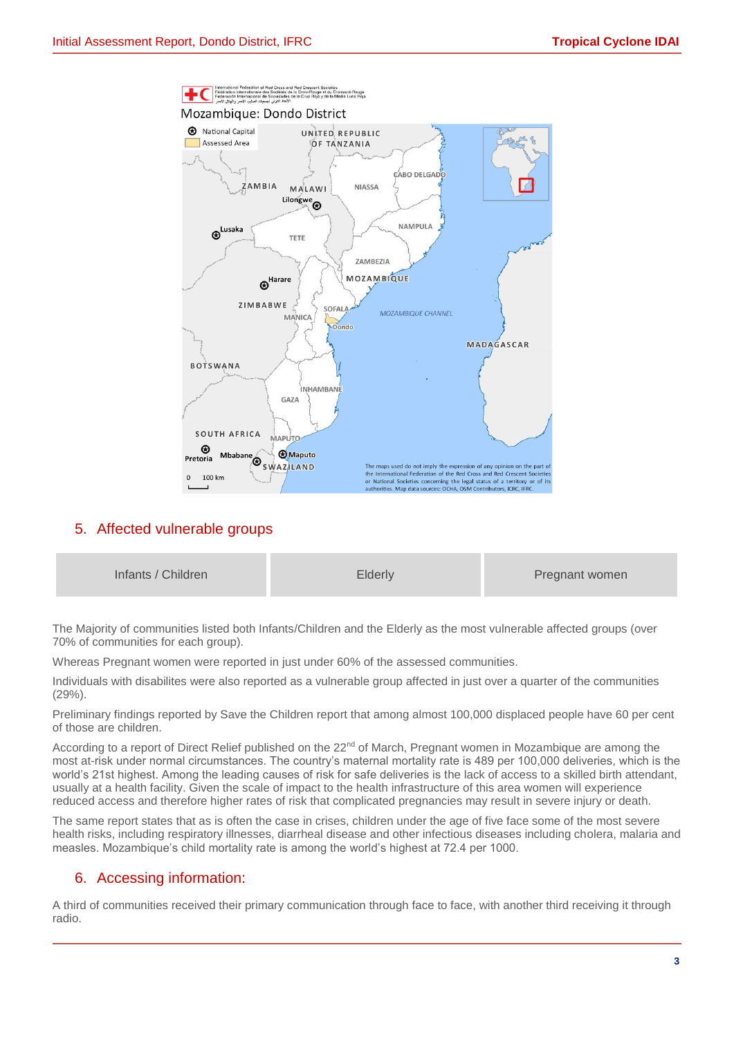

#### 5. Affected vulnerable groups

| Infants / Children | <b>Elderly</b> | Pregnant women |
|--------------------|----------------|----------------|
|                    |                |                |

The Majority of communities listed both Infants/Children and the Elderly as the most vulnerable affected groups (over 70% of communities for each group).

Whereas Pregnant women were reported in just under 60% of the assessed communities.

Individuals with disabilites were also reported as a vulnerable group affected in just over a quarter of the communities (29%).

Preliminary findings reported by Save the Children report that among almost 100,000 displaced people have 60 per cent of those are children.

According to a report of Direct Relief published on the 22<sup>nd</sup> of March, Pregnant women in Mozambique are among the most at-risk under normal circumstances. The country's maternal mortality rate is 489 per 100,000 deliveries, which is the world's 21st highest. Among the leading causes of risk for safe deliveries is the lack of access to a skilled birth attendant, usually at a health facility. Given the scale of impact to the health infrastructure of this area women will experience reduced access and therefore higher rates of risk that complicated pregnancies may result in severe injury or death.

The same report states that as is often the case in crises, children under the age of five face some of the most severe health risks, including respiratory illnesses, diarrheal disease and other infectious diseases including cholera, malaria and measles. Mozambique's child mortality rate is among the world's highest at 72.4 per 1000.

#### 6. Accessing information:

A third of communities received their primary communication through face to face, with another third receiving it through radio.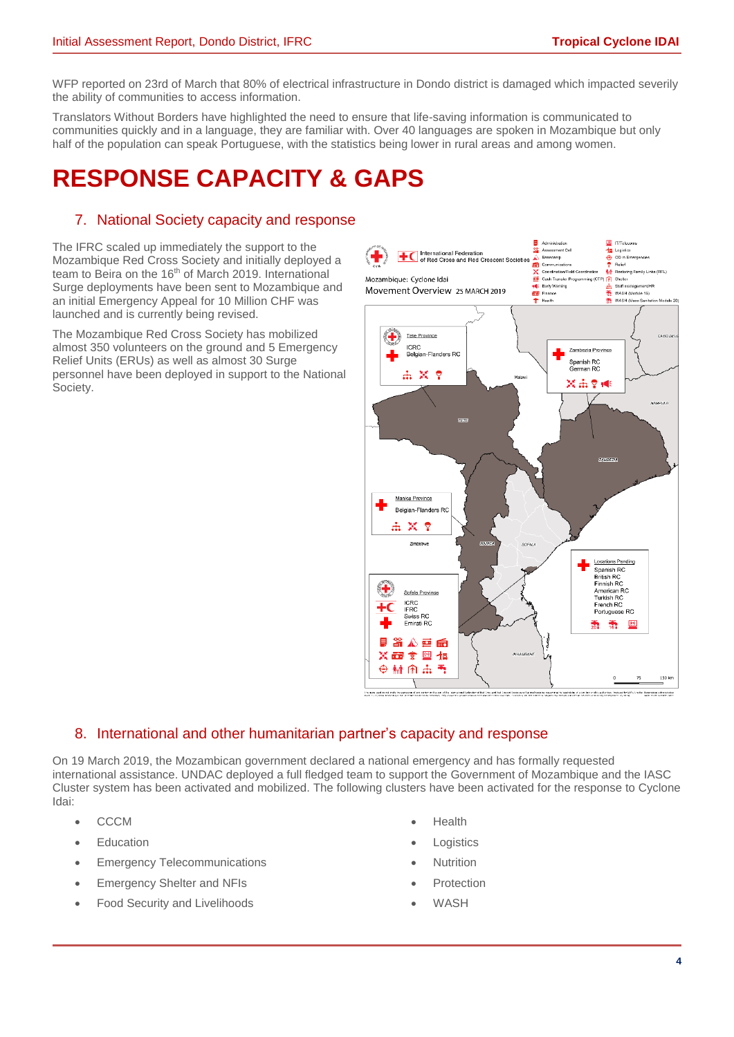WFP reported on 23rd of March that 80% of electrical infrastructure in Dondo district is damaged which impacted severily the ability of communities to access information.

Translators Without Borders have highlighted the need to ensure that life-saving information is communicated to communities quickly and in a language, they are familiar with. Over 40 languages are spoken in Mozambique but only half of the population can speak Portuguese, with the statistics being lower in rural areas and among women.

## **RESPONSE CAPACITY & GAPS**

#### 7. National Society capacity and response

The IFRC scaled up immediately the support to the Mozambique Red Cross Society and initially deployed a team to Beira on the 16<sup>th</sup> of March 2019. International Surge deployments have been sent to Mozambique and an initial Emergency Appeal for 10 Million CHF was launched and is currently being revised.

The Mozambique Red Cross Society has mobilized almost 350 volunteers on the ground and 5 Emergency Relief Units (ERUs) as well as almost 30 Surge personnel have been deployed in support to the National Society.



-<br>Penus and one independence in order in the set of the incomediation in the beam but the second second interfer<br>Here 2.1 [86] Washing in thems incorded implements in the second of the second comes in collect in the second

#### 8. International and other humanitarian partner's capacity and response

On 19 March 2019, the Mozambican government declared a national emergency and has formally requested international assistance. UNDAC deployed a full fledged team to support the Government of Mozambique and the IASC Cluster system has been activated and mobilized. The following clusters have been activated for the response to Cyclone Idai:

- CCCM
- **Education**
- **Emergency Telecommunications**
- Emergency Shelter and NFIs
- Food Security and Livelihoods
- Health
- **Logistics**
- **Nutrition**
- **Protection**
- **WASH**